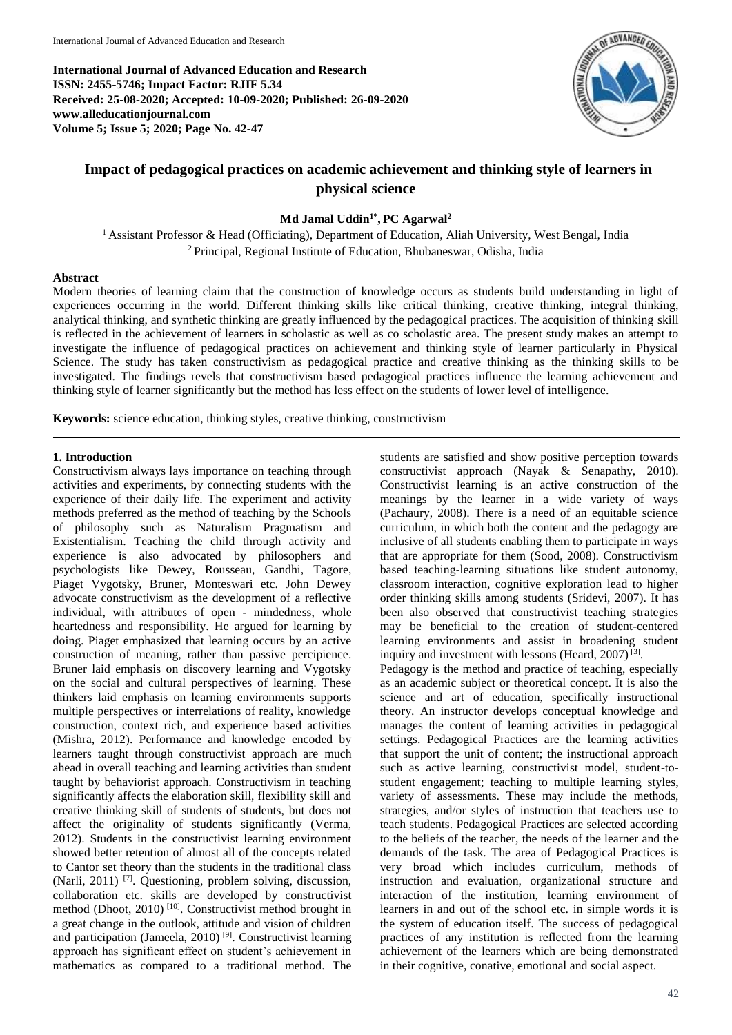**International Journal of Advanced Education and Research ISSN: 2455-5746; Impact Factor: RJIF 5.34 Received: 25-08-2020; Accepted: 10-09-2020; Published: 26-09-2020 www.alleducationjournal.com Volume 5; Issue 5; 2020; Page No. 42-47**



## **Impact of pedagogical practices on academic achievement and thinking style of learners in physical science**

## **Md Jamal Uddin1\* , PC Agarwal<sup>2</sup>**

<sup>1</sup> Assistant Professor & Head (Officiating), Department of Education, Aliah University, West Bengal, India <sup>2</sup> Principal, Regional Institute of Education, Bhubaneswar, Odisha, India

#### **Abstract**

Modern theories of learning claim that the construction of knowledge occurs as students build understanding in light of experiences occurring in the world. Different thinking skills like critical thinking, creative thinking, integral thinking, analytical thinking, and synthetic thinking are greatly influenced by the pedagogical practices. The acquisition of thinking skill is reflected in the achievement of learners in scholastic as well as co scholastic area. The present study makes an attempt to investigate the influence of pedagogical practices on achievement and thinking style of learner particularly in Physical Science. The study has taken constructivism as pedagogical practice and creative thinking as the thinking skills to be investigated. The findings revels that constructivism based pedagogical practices influence the learning achievement and thinking style of learner significantly but the method has less effect on the students of lower level of intelligence.

**Keywords:** science education, thinking styles, creative thinking, constructivism

#### **1. Introduction**

Constructivism always lays importance on teaching through activities and experiments, by connecting students with the experience of their daily life. The experiment and activity methods preferred as the method of teaching by the Schools of philosophy such as Naturalism Pragmatism and Existentialism. Teaching the child through activity and experience is also advocated by philosophers and psychologists like Dewey, Rousseau, Gandhi, Tagore, Piaget Vygotsky, Bruner, Monteswari etc. John Dewey advocate constructivism as the development of a reflective individual, with attributes of open - mindedness, whole heartedness and responsibility. He argued for learning by doing. Piaget emphasized that learning occurs by an active construction of meaning, rather than passive percipience. Bruner laid emphasis on discovery learning and Vygotsky on the social and cultural perspectives of learning. These thinkers laid emphasis on learning environments supports multiple perspectives or interrelations of reality, knowledge construction, context rich, and experience based activities (Mishra, 2012). Performance and knowledge encoded by learners taught through constructivist approach are much ahead in overall teaching and learning activities than student taught by behaviorist approach. Constructivism in teaching significantly affects the elaboration skill, flexibility skill and creative thinking skill of students of students, but does not affect the originality of students significantly (Verma, 2012). Students in the constructivist learning environment showed better retention of almost all of the concepts related to Cantor set theory than the students in the traditional class (Narli, 2011) [7]. Questioning, problem solving, discussion, collaboration etc. skills are developed by constructivist method (Dhoot, 2010)<sup>[10]</sup>. Constructivist method brought in a great change in the outlook, attitude and vision of children and participation (Jameela, 2010) [9]. Constructivist learning approach has significant effect on student's achievement in mathematics as compared to a traditional method. The

students are satisfied and show positive perception towards constructivist approach (Nayak & Senapathy, 2010). Constructivist learning is an active construction of the meanings by the learner in a wide variety of ways (Pachaury, 2008). There is a need of an equitable science curriculum, in which both the content and the pedagogy are inclusive of all students enabling them to participate in ways that are appropriate for them (Sood, 2008). Constructivism based teaching-learning situations like student autonomy, classroom interaction, cognitive exploration lead to higher order thinking skills among students (Sridevi, 2007). It has been also observed that constructivist teaching strategies may be beneficial to the creation of student-centered learning environments and assist in broadening student inquiry and investment with lessons (Heard, 2007)<sup>[3]</sup>.

Pedagogy is the method and practice of teaching, especially as an academic subject or theoretical concept. It is also the science and art of education, specifically instructional theory. An instructor develops conceptual knowledge and manages the content of learning activities in pedagogical settings. Pedagogical Practices are the learning activities that support the unit of content; the instructional approach such as active learning, constructivist model, student-tostudent engagement; teaching to multiple learning styles, variety of assessments. These may include the methods, strategies, and/or styles of instruction that teachers use to teach students. Pedagogical Practices are selected according to the beliefs of the teacher, the needs of the learner and the demands of the task. The area of Pedagogical Practices is very broad which includes curriculum, methods of instruction and evaluation, organizational structure and interaction of the institution, learning environment of learners in and out of the school etc. in simple words it is the system of education itself. The success of pedagogical practices of any institution is reflected from the learning achievement of the learners which are being demonstrated in their cognitive, conative, emotional and social aspect.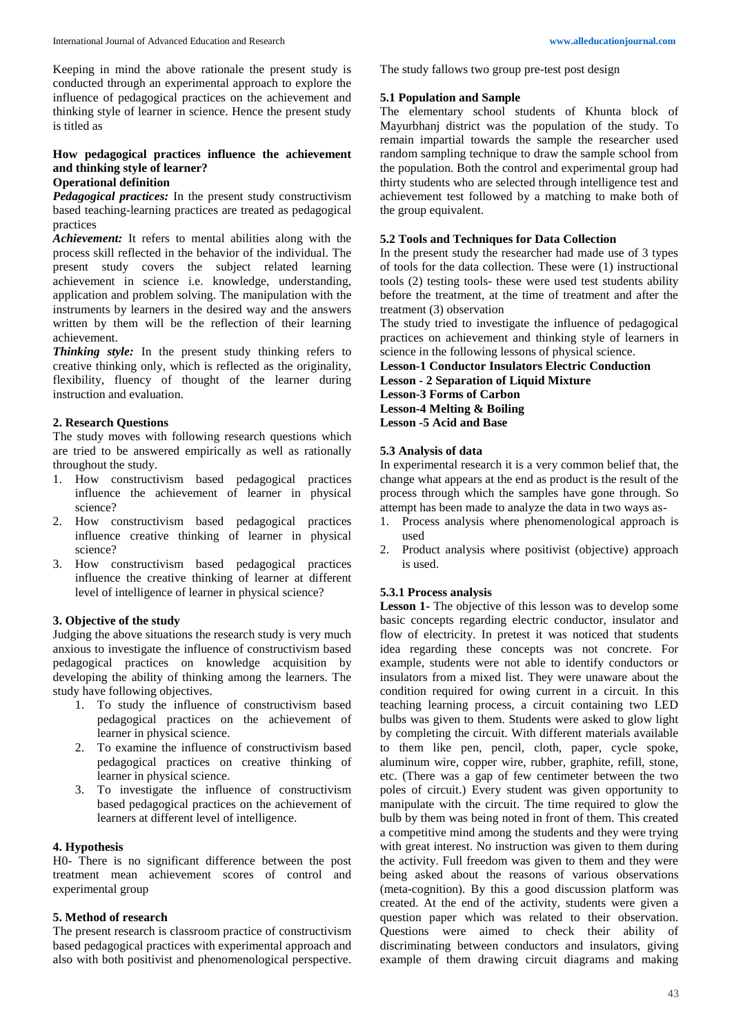Keeping in mind the above rationale the present study is conducted through an experimental approach to explore the influence of pedagogical practices on the achievement and thinking style of learner in science. Hence the present study is titled as

# **How pedagogical practices influence the achievement and thinking style of learner?**

## **Operational definition**

*Pedagogical practices:* In the present study constructivism based teaching-learning practices are treated as pedagogical practices

*Achievement:* It refers to mental abilities along with the process skill reflected in the behavior of the individual. The present study covers the subject related learning achievement in science i.e. knowledge, understanding, application and problem solving. The manipulation with the instruments by learners in the desired way and the answers written by them will be the reflection of their learning achievement.

*Thinking style:* In the present study thinking refers to creative thinking only, which is reflected as the originality, flexibility, fluency of thought of the learner during instruction and evaluation.

#### **2. Research Questions**

The study moves with following research questions which are tried to be answered empirically as well as rationally throughout the study.

- 1. How constructivism based pedagogical practices influence the achievement of learner in physical science?
- 2. How constructivism based pedagogical practices influence creative thinking of learner in physical science?
- 3. How constructivism based pedagogical practices influence the creative thinking of learner at different level of intelligence of learner in physical science?

## **3. Objective of the study**

Judging the above situations the research study is very much anxious to investigate the influence of constructivism based pedagogical practices on knowledge acquisition by developing the ability of thinking among the learners. The study have following objectives.

- 1. To study the influence of constructivism based pedagogical practices on the achievement of learner in physical science.
- 2. To examine the influence of constructivism based pedagogical practices on creative thinking of learner in physical science.
- 3. To investigate the influence of constructivism based pedagogical practices on the achievement of learners at different level of intelligence.

## **4. Hypothesis**

H0- There is no significant difference between the post treatment mean achievement scores of control and experimental group

## **5. Method of research**

The present research is classroom practice of constructivism based pedagogical practices with experimental approach and also with both positivist and phenomenological perspective.

The study fallows two group pre-test post design

#### **5.1 Population and Sample**

The elementary school students of Khunta block of Mayurbhanj district was the population of the study. To remain impartial towards the sample the researcher used random sampling technique to draw the sample school from the population. Both the control and experimental group had thirty students who are selected through intelligence test and achievement test followed by a matching to make both of the group equivalent.

## **5.2 Tools and Techniques for Data Collection**

In the present study the researcher had made use of 3 types of tools for the data collection. These were (1) instructional tools (2) testing tools- these were used test students ability before the treatment, at the time of treatment and after the treatment (3) observation

The study tried to investigate the influence of pedagogical practices on achievement and thinking style of learners in science in the following lessons of physical science.

**Lesson-1 Conductor Insulators Electric Conduction Lesson - 2 Separation of Liquid Mixture Lesson-3 Forms of Carbon Lesson-4 Melting & Boiling Lesson -5 Acid and Base**

## **5.3 Analysis of data**

In experimental research it is a very common belief that, the change what appears at the end as product is the result of the process through which the samples have gone through. So attempt has been made to analyze the data in two ways as-

- 1. Process analysis where phenomenological approach is used
- 2. Product analysis where positivist (objective) approach is used.

## **5.3.1 Process analysis**

**Lesson 1-** The objective of this lesson was to develop some basic concepts regarding electric conductor, insulator and flow of electricity. In pretest it was noticed that students idea regarding these concepts was not concrete. For example, students were not able to identify conductors or insulators from a mixed list. They were unaware about the condition required for owing current in a circuit. In this teaching learning process, a circuit containing two LED bulbs was given to them. Students were asked to glow light by completing the circuit. With different materials available to them like pen, pencil, cloth, paper, cycle spoke, aluminum wire, copper wire, rubber, graphite, refill, stone, etc. (There was a gap of few centimeter between the two poles of circuit.) Every student was given opportunity to manipulate with the circuit. The time required to glow the bulb by them was being noted in front of them. This created a competitive mind among the students and they were trying with great interest. No instruction was given to them during the activity. Full freedom was given to them and they were being asked about the reasons of various observations (meta-cognition). By this a good discussion platform was created. At the end of the activity, students were given a question paper which was related to their observation. Questions were aimed to check their ability of discriminating between conductors and insulators, giving example of them drawing circuit diagrams and making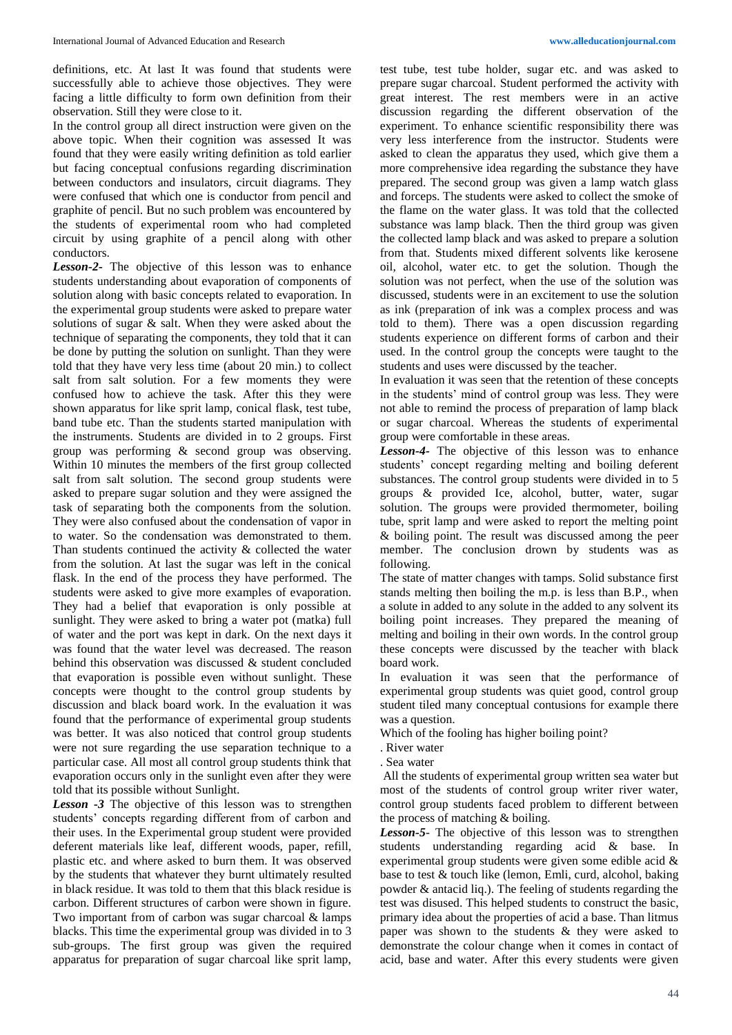definitions, etc. At last It was found that students were successfully able to achieve those objectives. They were facing a little difficulty to form own definition from their observation. Still they were close to it.

In the control group all direct instruction were given on the above topic. When their cognition was assessed It was found that they were easily writing definition as told earlier but facing conceptual confusions regarding discrimination between conductors and insulators, circuit diagrams. They were confused that which one is conductor from pencil and graphite of pencil. But no such problem was encountered by the students of experimental room who had completed circuit by using graphite of a pencil along with other conductors.

*Lesson-2-* The objective of this lesson was to enhance students understanding about evaporation of components of solution along with basic concepts related to evaporation. In the experimental group students were asked to prepare water solutions of sugar & salt. When they were asked about the technique of separating the components, they told that it can be done by putting the solution on sunlight. Than they were told that they have very less time (about 20 min.) to collect salt from salt solution. For a few moments they were confused how to achieve the task. After this they were shown apparatus for like sprit lamp, conical flask, test tube, band tube etc. Than the students started manipulation with the instruments. Students are divided in to 2 groups. First group was performing & second group was observing. Within 10 minutes the members of the first group collected salt from salt solution. The second group students were asked to prepare sugar solution and they were assigned the task of separating both the components from the solution. They were also confused about the condensation of vapor in to water. So the condensation was demonstrated to them. Than students continued the activity & collected the water from the solution. At last the sugar was left in the conical flask. In the end of the process they have performed. The students were asked to give more examples of evaporation. They had a belief that evaporation is only possible at sunlight. They were asked to bring a water pot (matka) full of water and the port was kept in dark. On the next days it was found that the water level was decreased. The reason behind this observation was discussed & student concluded that evaporation is possible even without sunlight. These concepts were thought to the control group students by discussion and black board work. In the evaluation it was found that the performance of experimental group students was better. It was also noticed that control group students were not sure regarding the use separation technique to a particular case. All most all control group students think that evaporation occurs only in the sunlight even after they were told that its possible without Sunlight.

*Lesson -3* The objective of this lesson was to strengthen students' concepts regarding different from of carbon and their uses. In the Experimental group student were provided deferent materials like leaf, different woods, paper, refill, plastic etc. and where asked to burn them. It was observed by the students that whatever they burnt ultimately resulted in black residue. It was told to them that this black residue is carbon. Different structures of carbon were shown in figure. Two important from of carbon was sugar charcoal & lamps blacks. This time the experimental group was divided in to 3 sub-groups. The first group was given the required apparatus for preparation of sugar charcoal like sprit lamp,

test tube, test tube holder, sugar etc. and was asked to prepare sugar charcoal. Student performed the activity with great interest. The rest members were in an active discussion regarding the different observation of the experiment. To enhance scientific responsibility there was very less interference from the instructor. Students were asked to clean the apparatus they used, which give them a more comprehensive idea regarding the substance they have prepared. The second group was given a lamp watch glass and forceps. The students were asked to collect the smoke of the flame on the water glass. It was told that the collected substance was lamp black. Then the third group was given the collected lamp black and was asked to prepare a solution from that. Students mixed different solvents like kerosene oil, alcohol, water etc. to get the solution. Though the solution was not perfect, when the use of the solution was discussed, students were in an excitement to use the solution as ink (preparation of ink was a complex process and was told to them). There was a open discussion regarding students experience on different forms of carbon and their used. In the control group the concepts were taught to the students and uses were discussed by the teacher.

In evaluation it was seen that the retention of these concepts in the students' mind of control group was less. They were not able to remind the process of preparation of lamp black or sugar charcoal. Whereas the students of experimental group were comfortable in these areas.

*Lesson-4-* The objective of this lesson was to enhance students' concept regarding melting and boiling deferent substances. The control group students were divided in to 5 groups & provided Ice, alcohol, butter, water, sugar solution. The groups were provided thermometer, boiling tube, sprit lamp and were asked to report the melting point & boiling point. The result was discussed among the peer member. The conclusion drown by students was as following.

The state of matter changes with tamps. Solid substance first stands melting then boiling the m.p. is less than B.P., when a solute in added to any solute in the added to any solvent its boiling point increases. They prepared the meaning of melting and boiling in their own words. In the control group these concepts were discussed by the teacher with black board work.

In evaluation it was seen that the performance of experimental group students was quiet good, control group student tiled many conceptual contusions for example there was a question.

Which of the fooling has higher boiling point?

. River water

. Sea water

All the students of experimental group written sea water but most of the students of control group writer river water, control group students faced problem to different between the process of matching & boiling.

*Lesson-5*- The objective of this lesson was to strengthen students understanding regarding acid & base. In experimental group students were given some edible acid & base to test & touch like (lemon, Emli, curd, alcohol, baking powder & antacid liq.). The feeling of students regarding the test was disused. This helped students to construct the basic, primary idea about the properties of acid a base. Than litmus paper was shown to the students & they were asked to demonstrate the colour change when it comes in contact of acid, base and water. After this every students were given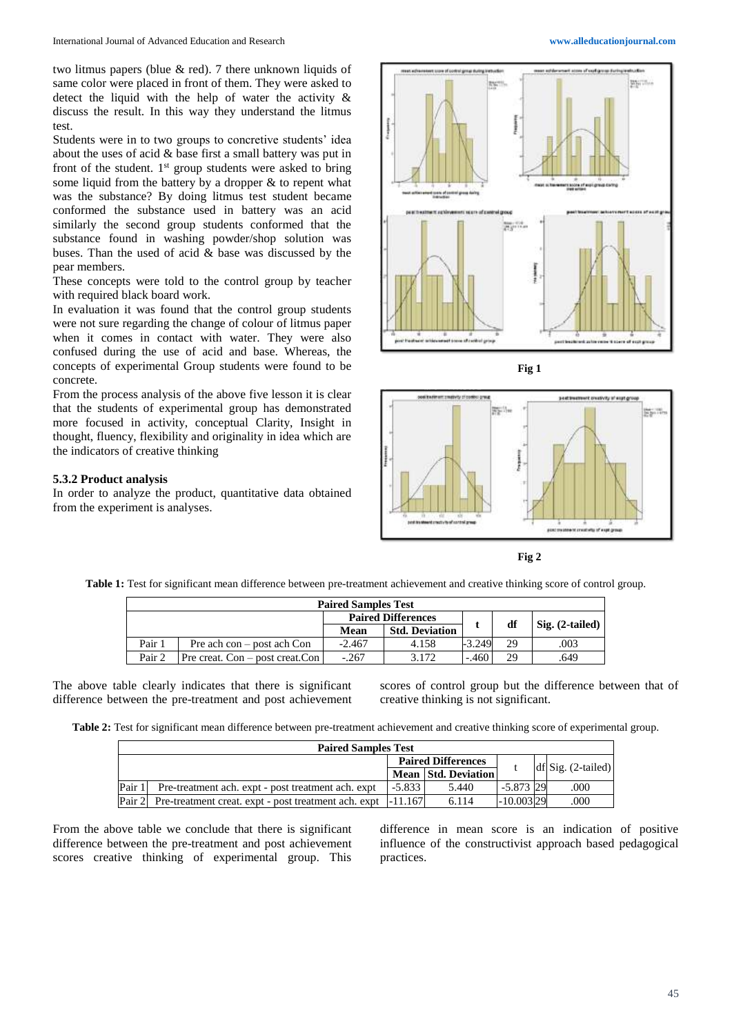two litmus papers (blue & red). 7 there unknown liquids of same color were placed in front of them. They were asked to detect the liquid with the help of water the activity & discuss the result. In this way they understand the litmus test.

Students were in to two groups to concretive students' idea about the uses of acid & base first a small battery was put in front of the student.  $1<sup>st</sup>$  group students were asked to bring some liquid from the battery by a dropper & to repent what was the substance? By doing litmus test student became conformed the substance used in battery was an acid similarly the second group students conformed that the substance found in washing powder/shop solution was buses. Than the used of acid & base was discussed by the pear members.

These concepts were told to the control group by teacher with required black board work.

In evaluation it was found that the control group students were not sure regarding the change of colour of litmus paper when it comes in contact with water. They were also confused during the use of acid and base. Whereas, the concepts of experimental Group students were found to be concrete.

From the process analysis of the above five lesson it is clear that the students of experimental group has demonstrated more focused in activity, conceptual Clarity, Insight in thought, fluency, flexibility and originality in idea which are the indicators of creative thinking

#### **5.3.2 Product analysis**

In order to analyze the product, quantitative data obtained from the experiment is analyses.









**Table 1:** Test for significant mean difference between pre-treatment achievement and creative thinking score of control group.

| <b>Paired Samples Test</b> |                                    |          |                           |          |    |                   |  |
|----------------------------|------------------------------------|----------|---------------------------|----------|----|-------------------|--|
|                            |                                    |          | <b>Paired Differences</b> |          |    |                   |  |
|                            |                                    | Mean     | <b>Std. Deviation</b>     |          | df | $Sig. (2-tailed)$ |  |
| Pair 1                     | Pre ach $con - post$ ach $Con$     | $-2.467$ | 4.158                     | $-3.249$ | 29 | .003              |  |
| Pair 2                     | Pre creat. Con $-$ post creat. Con | $-.267$  | 3.172                     | $-.460$  | 29 | .649              |  |

The above table clearly indicates that there is significant difference between the pre-treatment and post achievement

scores of control group but the difference between that of creative thinking is not significant.

**Table 2:** Test for significant mean difference between pre-treatment achievement and creative thinking score of experimental group.

| <b>Paired Samples Test</b> |                                                               |          |                            |             |  |                       |  |  |
|----------------------------|---------------------------------------------------------------|----------|----------------------------|-------------|--|-----------------------|--|--|
|                            |                                                               |          | <b>Paired Differences</b>  |             |  | $df[Sig. (2-tailed)]$ |  |  |
|                            |                                                               |          | <b>Mean Std. Deviation</b> |             |  |                       |  |  |
| Pair 1                     | Pre-treatment ach. expt - post treatment ach. expt            | $-5.833$ | 5.440                      | $-5.873$ 29 |  | .000                  |  |  |
| Pair 2                     | Pre-treatment creat. expt - post treatment ach. expt  -11.167 |          | 6.114                      | $-10.00329$ |  | .000                  |  |  |

From the above table we conclude that there is significant difference between the pre-treatment and post achievement scores creative thinking of experimental group. This

difference in mean score is an indication of positive influence of the constructivist approach based pedagogical practices.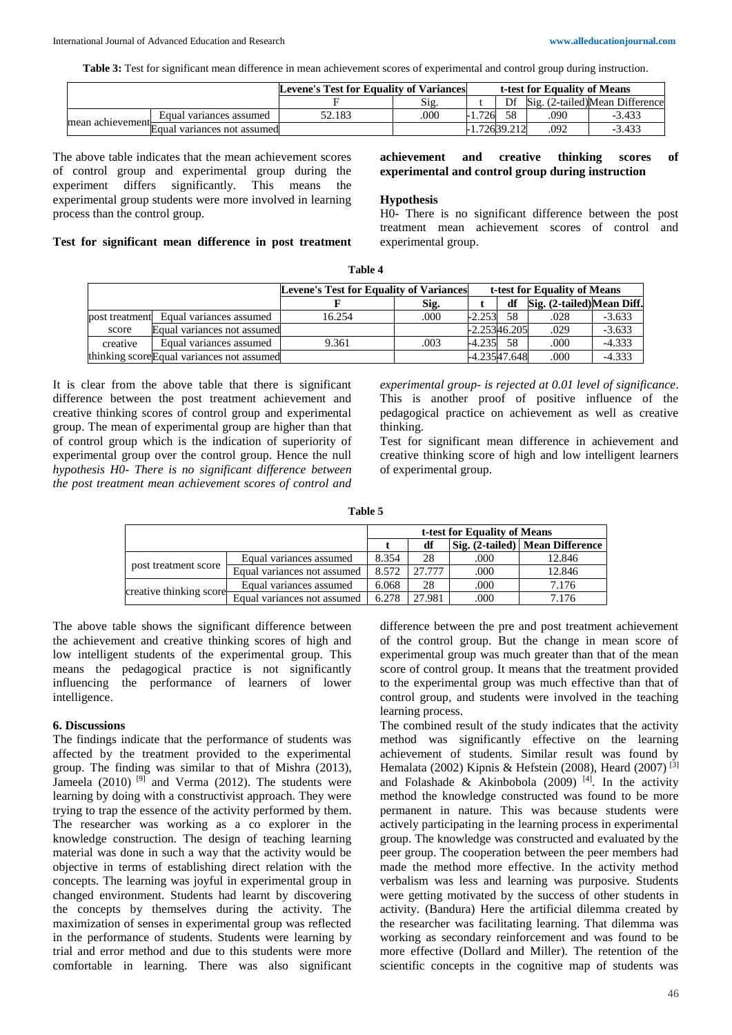**Table 3:** Test for significant mean difference in mean achievement scores of experimental and control group during instruction.

|                  |                             | <b>Levene's Test for Equality of Variances</b> |      |      | t-test for Equality of Means |     |                                |  |
|------------------|-----------------------------|------------------------------------------------|------|------|------------------------------|-----|--------------------------------|--|
|                  |                             |                                                | S12  |      | Df                           |     | Sig. (2-tailed)Mean Difference |  |
|                  | Equal variances assumed     | 52.183                                         | .000 | .726 |                              | 090 | $-3.433$                       |  |
| mean achievement | Equal variances not assumed |                                                |      |      | 72639 212                    | 092 | $-3.43$                        |  |

The above table indicates that the mean achievement scores of control group and experimental group during the experiment differs significantly. This means the experimental group students were more involved in learning process than the control group.

## **Test for significant mean difference in post treatment**

## **achievement and creative thinking scores of experimental and control group during instruction**

#### **Hypothesis**

H0- There is no significant difference between the post treatment mean achievement scores of control and experimental group.

| <b>Levene's Test for Equality of Variances</b> |                                            |        | t-test for Equality of Means |              |     |                           |          |
|------------------------------------------------|--------------------------------------------|--------|------------------------------|--------------|-----|---------------------------|----------|
|                                                |                                            |        | Sig.                         |              | df  | Sig. (2-tailed)Mean Diff. |          |
|                                                | post treatment Equal variances assumed     | 16.254 | .000                         | $-2.253$     | .58 | .028                      | $-3.633$ |
| score                                          | Equal variances not assumed                |        |                              | -2.25346.205 |     | .029                      | $-3.633$ |
| creative                                       | Equal variances assumed                    | 9.361  | .003                         | $-4.235$     | -58 | .000                      | $-4.333$ |
|                                                | thinking score Equal variances not assumed |        |                              | -4.23547.648 |     | .000                      | $-4.333$ |

**Table 4**

It is clear from the above table that there is significant difference between the post treatment achievement and creative thinking scores of control group and experimental group. The mean of experimental group are higher than that of control group which is the indication of superiority of experimental group over the control group. Hence the null *hypothesis H0- There is no significant difference between the post treatment mean achievement scores of control and* 

*experimental group- is rejected at 0.01 level of significance*. This is another proof of positive influence of the pedagogical practice on achievement as well as creative thinking.

Test for significant mean difference in achievement and creative thinking score of high and low intelligent learners of experimental group.

**Table 5**

|                      |                                                     |       | t-test for Equality of Means |                                        |        |  |  |  |
|----------------------|-----------------------------------------------------|-------|------------------------------|----------------------------------------|--------|--|--|--|
|                      |                                                     | df    |                              | <b>Sig. (2-tailed)</b> Mean Difference |        |  |  |  |
|                      | Equal variances assumed                             | 8.354 | 28                           | .000                                   | 12.846 |  |  |  |
| post treatment score | Equal variances not assumed                         | 8.572 | 27.777                       | .000                                   | 12.846 |  |  |  |
|                      | Equal variances assumed                             | 6.068 | 28                           | .000                                   | 7.176  |  |  |  |
|                      | creative thinking score Equal variances not assumed | 6.278 | 27.981                       | .000                                   | 7.176  |  |  |  |

The above table shows the significant difference between the achievement and creative thinking scores of high and low intelligent students of the experimental group. This means the pedagogical practice is not significantly influencing the performance of learners of lower intelligence.

#### **6. Discussions**

The findings indicate that the performance of students was affected by the treatment provided to the experimental group. The finding was similar to that of Mishra (2013), Jameela  $(2010)$  [9] and Verma  $(2012)$ . The students were learning by doing with a constructivist approach. They were trying to trap the essence of the activity performed by them. The researcher was working as a co explorer in the knowledge construction. The design of teaching learning material was done in such a way that the activity would be objective in terms of establishing direct relation with the concepts. The learning was joyful in experimental group in changed environment. Students had learnt by discovering the concepts by themselves during the activity. The maximization of senses in experimental group was reflected in the performance of students. Students were learning by trial and error method and due to this students were more comfortable in learning. There was also significant

difference between the pre and post treatment achievement of the control group. But the change in mean score of experimental group was much greater than that of the mean score of control group. It means that the treatment provided to the experimental group was much effective than that of control group*,* and students were involved in the teaching learning process.

The combined result of the study indicates that the activity method was significantly effective on the learning achievement of students. Similar result was found by Hemalata (2002) Kipnis & Hefstein (2008), Heard (2007) [3] and Folashade & Akinbobola (2009)<sup>[4]</sup>. In the activity method the knowledge constructed was found to be more permanent in nature. This was because students were actively participating in the learning process in experimental group. The knowledge was constructed and evaluated by the peer group. The cooperation between the peer members had made the method more effective. In the activity method verbalism was less and learning was purposive. Students were getting motivated by the success of other students in activity. (Bandura) Here the artificial dilemma created by the researcher was facilitating learning. That dilemma was working as secondary reinforcement and was found to be more effective (Dollard and Miller). The retention of the scientific concepts in the cognitive map of students was